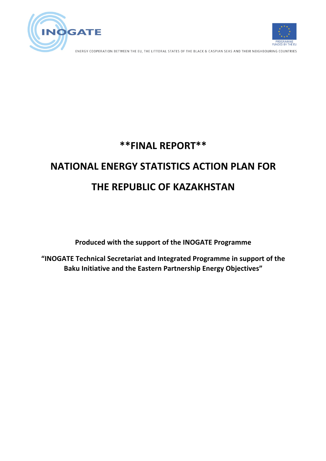



ENERGY COOPERATION BETWEEN THE EU, THE LITTORAL STATES OF THE BLACK & CASPIAN SEAS AND THEIR NEIGHBOURING COUNTRIES

# **\*\*FINAL REPORT\*\***

# **NATIONAL ENERGY STATISTICS ACTION PLAN FOR THE REPUBLIC OF KAZAKHSTAN**

**Produced with the support of the INOGATE Programme** 

"INOGATE Technical Secretariat and Integrated Programme in support of the **Baku Initiative and the Eastern Partnership Energy Objectives"**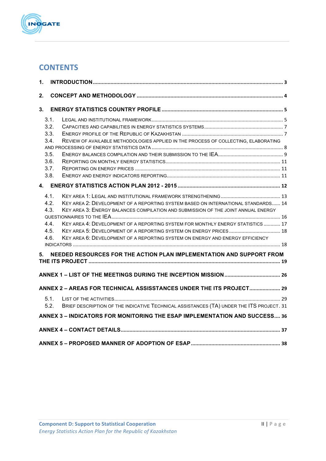

# **CONTENTS**

| 1.             |                          |                                                                                                                                                                        |  |
|----------------|--------------------------|------------------------------------------------------------------------------------------------------------------------------------------------------------------------|--|
| 2.             |                          |                                                                                                                                                                        |  |
| 3 <sub>1</sub> |                          |                                                                                                                                                                        |  |
|                | 3.1.                     |                                                                                                                                                                        |  |
|                | 3.2.                     |                                                                                                                                                                        |  |
|                | 3.3.                     |                                                                                                                                                                        |  |
|                | 3.4.                     | REVIEW OF AVAILABLE METHODOLOGIES APPLIED IN THE PROCESS OF COLLECTING, ELABORATING                                                                                    |  |
|                |                          |                                                                                                                                                                        |  |
|                | 3.5.                     |                                                                                                                                                                        |  |
|                | 3.6.<br>3.7.             |                                                                                                                                                                        |  |
|                | 3.8.                     |                                                                                                                                                                        |  |
|                |                          |                                                                                                                                                                        |  |
|                |                          |                                                                                                                                                                        |  |
|                | 4.1                      |                                                                                                                                                                        |  |
|                | 4.2 <sub>1</sub><br>4.3. | KEY AREA 2: DEVELOPMENT OF A REPORTING SYSTEM BASED ON INTERNATIONAL STANDARDS 14<br>KEY AREA 3: ENERGY BALANCES COMPILATION AND SUBMISSION OF THE JOINT ANNUAL ENERGY |  |
|                |                          |                                                                                                                                                                        |  |
|                | 4.4.                     | KEY AREA 4: DEVELOPMENT OF A REPORTING SYSTEM FOR MONTHLY ENERGY STATISTICS  17                                                                                        |  |
|                | 4.5.                     |                                                                                                                                                                        |  |
|                | 4.6.                     | KEY AREA 6: DEVELOPMENT OF A REPORTING SYSTEM ON ENERGY AND ENERGY EFFICIENCY                                                                                          |  |
|                |                          |                                                                                                                                                                        |  |
| 5.             |                          | NEEDED RESOURCES FOR THE ACTION PLAN IMPLEMENTATION AND SUPPORT FROM                                                                                                   |  |
|                |                          |                                                                                                                                                                        |  |
|                |                          |                                                                                                                                                                        |  |
|                |                          | ANNEX 2 - AREAS FOR TECHNICAL ASSISSTANCES UNDER THE ITS PROJECT 29                                                                                                    |  |
|                | 5.1.                     |                                                                                                                                                                        |  |
|                | 5.2.                     | BRIEF DESCRIPTION OF THE INDICATIVE TECHNICAL ASSISTANCES (TA) UNDER THE ITS PROJECT. 31                                                                               |  |
|                |                          | ANNEX 3 - INDICATORS FOR MONITORING THE ESAP IMPLEMENTATION AND SUCCESS 36                                                                                             |  |
|                |                          |                                                                                                                                                                        |  |
|                |                          |                                                                                                                                                                        |  |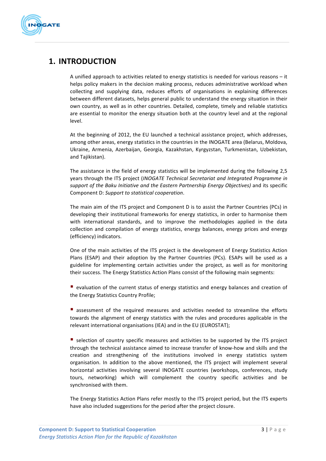

# **1. INTRODUCTION**

A unified approach to activities related to energy statistics is needed for various reasons  $-$  it helps policy makers in the decision making process, reduces administrative workload when collecting and supplying data, reduces efforts of organisations in explaining differences between different datasets, helps general public to understand the energy situation in their own country, as well as in other countries. Detailed, complete, timely and reliable statistics are essential to monitor the energy situation both at the country level and at the regional level. 

At the beginning of 2012, the EU launched a technical assistance project, which addresses, among other areas, energy statistics in the countries in the INOGATE area (Belarus, Moldova, Ukraine, Armenia, Azerbaijan, Georgia, Kazakhstan, Kyrgyzstan, Turkmenistan, Uzbekistan, and Tajikistan).

The assistance in the field of energy statistics will be implemented during the following 2,5 years through the ITS project (*INOGATE Technical Secretariat and Integrated Programme in* support of the Baku Initiative and the Eastern Partnership Energy Objectives) and its specific Component D: *Support to statistical cooperation*.

The main aim of the ITS project and Component D is to assist the Partner Countries (PCs) in developing their institutional frameworks for energy statistics, in order to harmonise them with international standards, and to improve the methodologies applied in the data collection and compilation of energy statistics, energy balances, energy prices and energy (efficiency) indicators.

One of the main activities of the ITS project is the development of Energy Statistics Action Plans (ESAP) and their adoption by the Partner Countries (PCs). ESAPs will be used as a guideline for implementing certain activities under the project, as well as for monitoring their success. The Energy Statistics Action Plans consist of the following main segments:

■ evaluation of the current status of energy statistics and energy balances and creation of the Energy Statistics Country Profile;

■ assessment of the required measures and activities needed to streamline the efforts towards the alignment of energy statistics with the rules and procedures applicable in the relevant international organisations (IEA) and in the EU (EUROSTAT);

■ selection of country specific measures and activities to be supported by the ITS project through the technical assistance aimed to increase transfer of know-how and skills and the creation and strengthening of the institutions involved in energy statistics system organisation. In addition to the above mentioned, the ITS project will implement several horizontal activities involving several INOGATE countries (workshops, conferences, study tours, networking) which will complement the country specific activities and be synchronised with them.

The Energy Statistics Action Plans refer mostly to the ITS project period, but the ITS experts have also included suggestions for the period after the project closure.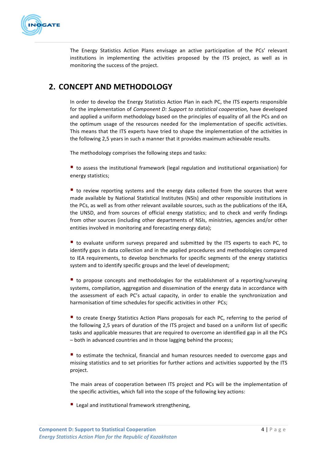

The Energy Statistics Action Plans envisage an active participation of the PCs' relevant institutions in implementing the activities proposed by the ITS project, as well as in monitoring the success of the project.

# **2. CONCEPT AND METHODOLOGY**

In order to develop the Energy Statistics Action Plan in each PC, the ITS experts responsible for the implementation of *Component D: Support to statistical cooperation*, have developed and applied a uniform methodology based on the principles of equality of all the PCs and on the optimum usage of the resources needed for the implementation of specific activities. This means that the ITS experts have tried to shape the implementation of the activities in the following 2,5 years in such a manner that it provides maximum achievable results.

The methodology comprises the following steps and tasks:

 $\blacksquare$  to assess the institutional framework (legal regulation and institutional organisation) for energy statistics;

 $\blacksquare$  to review reporting systems and the energy data collected from the sources that were made available by National Statistical Institutes (NSIs) and other responsible institutions in the PCs, as well as from other relevant available sources, such as the publications of the IEA, the UNSD, and from sources of official energy statistics; and to check and verify findings from other sources (including other departments of NSIs, ministries, agencies and/or other entities involved in monitoring and forecasting energy data):

 $\blacksquare$  to evaluate uniform surveys prepared and submitted by the ITS experts to each PC, to identify gaps in data collection and in the applied procedures and methodologies compared to IEA requirements, to develop benchmarks for specific segments of the energy statistics system and to identify specific groups and the level of development;

 $\blacksquare$  to propose concepts and methodologies for the establishment of a reporting/surveying systems, compilation, aggregation and dissemination of the energy data in accordance with the assessment of each PC's actual capacity, in order to enable the synchronization and harmonisation of time schedules for specific activities in other PCs;

■ to create Energy Statistics Action Plans proposals for each PC, referring to the period of the following 2,5 years of duration of the ITS project and based on a uniform list of specific tasks and applicable measures that are required to overcome an identified gap in all the PCs - both in advanced countries and in those lagging behind the process;

 $\blacksquare$  to estimate the technical, financial and human resources needed to overcome gaps and missing statistics and to set priorities for further actions and activities supported by the ITS project.

The main areas of cooperation between ITS project and PCs will be the implementation of the specific activities, which fall into the scope of the following key actions:

 $\blacksquare$  Legal and institutional framework strengthening.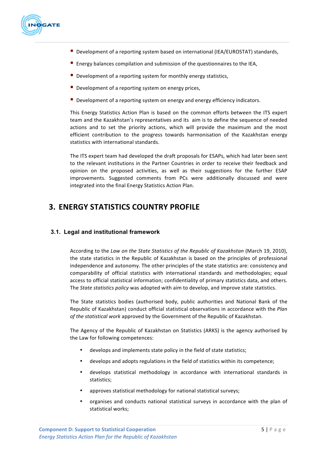

- Development of a reporting system based on international (IEA/EUROSTAT) standards,
- **E** Energy balances compilation and submission of the questionnaires to the IEA,
- **Development of a reporting system for monthly energy statistics,**
- $\blacksquare$  Development of a reporting system on energy prices,
- Development of a reporting system on energy and energy efficiency indicators.

This Energy Statistics Action Plan is based on the common efforts between the ITS expert team and the Kazakhstan's representatives and its aim is to define the sequence of needed actions and to set the priority actions, which will provide the maximum and the most efficient contribution to the progress towards harmonisation of the Kazakhstan energy statistics with international standards.

The ITS expert team had developed the draft proposals for ESAPs, which had later been sent to the relevant institutions in the Partner Countries in order to receive their feedback and opinion on the proposed activities, as well as their suggestions for the further ESAP improvements. Suggested comments from PCs were additionally discussed and were integrated into the final Energy Statistics Action Plan.

# **3. ENERGY STATISTICS COUNTRY PROFILE**

### **3.1. Legal and institutional framework**

According to the *Law on the State Statistics of the Republic of Kazakhstan* (March 19, 2010), the state statistics in the Republic of Kazakhstan is based on the principles of professional independence and autonomy. The other principles of the state statistics are: consistency and comparability of official statistics with international standards and methodologies; equal access to official statistical information; confidentiality of primary statistics data, and others. The *State statistics policy* was adopted with aim to develop, and improve state statistics.

The State statistics bodies (authorised body, public authorities and National Bank of the Republic of Kazakhstan) conduct official statistical observations in accordance with the *Plan* of the statistical work approved by the Government of the Republic of Kazakhstan.

The Agency of the Republic of Kazakhstan on Statistics (ARKS) is the agency authorised by the Law for following competences:

- develops and implements state policy in the field of state statistics;
- develops and adopts regulations in the field of statistics within its competence;
- develops statistical methodology in accordance with international standards in statistics;
- approves statistical methodology for national statistical surveys;
- organises and conducts national statistical surveys in accordance with the plan of statistical works;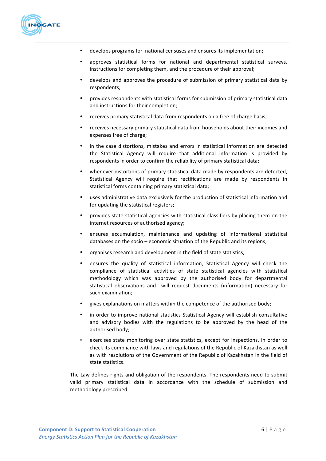

- develops programs for national censuses and ensures its implementation;
- approves statistical forms for national and departmental statistical surveys, instructions for completing them, and the procedure of their approval;
- develops and approves the procedure of submission of primary statistical data by respondents;
- provides respondents with statistical forms for submission of primary statistical data and instructions for their completion;
- receives primary statistical data from respondents on a free of charge basis;
- receives necessary primary statistical data from households about their incomes and expenses free of charge;
- in the case distortions, mistakes and errors in statistical information are detected the Statistical Agency will require that additional information is provided by respondents in order to confirm the reliability of primary statistical data;
- whenever distortions of primary statistical data made by respondents are detected, Statistical Agency will require that rectifications are made by respondents in statistical forms containing primary statistical data;
- uses administrative data exclusively for the production of statistical information and for updating the statistical registers:
- provides state statistical agencies with statistical classifiers by placing them on the internet resources of authorised agency;
- ensures accumulation, maintenance and updating of informational statistical databases on the socio  $-$  economic situation of the Republic and its regions;
- organises research and development in the field of state statistics;
- ensures the quality of statistical information, Statistical Agency will check the compliance of statistical activities of state statistical agencies with statistical methodology which was approved by the authorised body for departmental statistical observations and will request documents (information) necessary for such examination;
- gives explanations on matters within the competence of the authorised body;
- in order to improve national statistics Statistical Agency will establish consultative and advisory bodies with the regulations to be approved by the head of the authorised body;
- exercises state monitoring over state statistics, except for inspections, in order to check its compliance with laws and regulations of the Republic of Kazakhstan as well as with resolutions of the Government of the Republic of Kazakhstan in the field of state statistics.

The Law defines rights and obligation of the respondents. The respondents need to submit valid primary statistical data in accordance with the schedule of submission and methodology prescribed.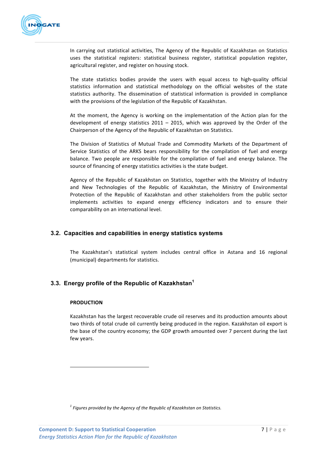

In carrying out statistical activities, The Agency of the Republic of Kazakhstan on Statistics uses the statistical registers: statistical business register, statistical population register, agricultural register, and register on housing stock.

The state statistics bodies provide the users with equal access to high-quality official statistics information and statistical methodology on the official websites of the state statistics authority. The dissemination of statistical information is provided in compliance with the provisions of the legislation of the Republic of Kazakhstan.

At the moment, the Agency is working on the implementation of the Action plan for the development of energy statistics  $2011 - 2015$ , which was approved by the Order of the Chairperson of the Agency of the Republic of Kazakhstan on Statistics.

The Division of Statistics of Mutual Trade and Commodity Markets of the Department of Service Statistics of the ARKS bears responsibility for the compilation of fuel and energy balance. Two people are responsible for the compilation of fuel and energy balance. The source of financing of energy statistics activities is the state budget.

Agency of the Republic of Kazakhstan on Statistics, together with the Ministry of Industry and New Technologies of the Republic of Kazakhstan, the Ministry of Environmental Protection of the Republic of Kazakhstan and other stakeholders from the public sector implements activities to expand energy efficiency indicators and to ensure their comparability on an international level.

# **3.2. Capacities and capabilities in energy statistics systems**

The Kazakhstan's statistical system includes central office in Astana and 16 regional (municipal) departments for statistics.

# **3.3. Energy profile of the Republic of Kazakhstan<sup>1</sup>**

#### **PRODUCTION**

Kazakhstan has the largest recoverable crude oil reserves and its production amounts about two thirds of total crude oil currently being produced in the region. Kazakhstan oil export is the base of the country economy; the GDP growth amounted over 7 percent during the last few years.

 

<sup>&</sup>lt;sup>1</sup> Fiaures provided by the Agency of the Republic of Kazakhstan on Statistics.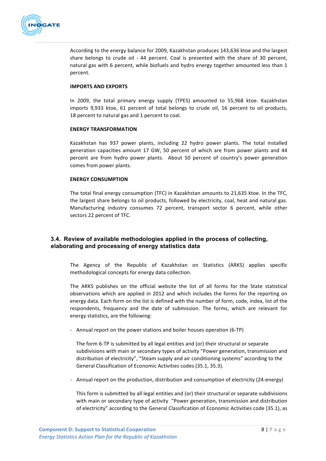

According to the energy balance for 2009, Kazakhstan produces 143,636 ktoe and the largest share belongs to crude oil - 44 percent. Coal is presented with the share of 30 percent, natural gas with 6 percent, while biofuels and hydro energy together amounted less than 1 percent.

#### **IMPORTS AND EXPORTS**

In 2009, the total primary energy supply (TPES) amounted to 55,968 ktoe. Kazakhstan imports 9,933 ktoe, 61 percent of total belongs to crude oil, 16 percent to oil products, 18 percent to natural gas and 1 percent to coal.

#### **ENERGY TRANSFORMATION**

Kazakhstan has 937 power plants, including 22 hydro power plants. The total installed generation capacities amount 17 GW, 50 percent of which are from power plants and 44 percent are from hydro power plants. About 50 percent of country's power generation comes from power plants.

#### **ENERGY CONSUMPTION**

The total final energy consumption (TFC) in Kazakhstan amounts to 21,635 ktoe. In the TFC, the largest share belongs to oil products, followed by electricity, coal, heat and natural gas. Manufacturing industry consumes 72 percent, transport sector 6 percent, while other sectors 22 percent of TFC.

# **3.4. Review of available methodologies applied in the process of collecting, elaborating and processing of energy statistics data**

The Agency of the Republic of Kazakhstan on Statistics (ARKS) applies specific methodological concepts for energy data collection.

The ARKS publishes on the official website the list of all forms for the State statistical observations which are applied in 2012 and which includes the forms for the reporting on energy data. Each form on the list is defined with the number of form, code, index, list of the respondents, frequency and the date of submission. The forms, which are relevant for energy statistics, are the following:

- Annual report on the power stations and boiler houses operation (6-TP)

The form 6-TP is submitted by all legal entities and (or) their structural or separate subdivisions with main or secondary types of activity "Power generation, transmission and distribution of electricity", "Steam supply and air conditioning systems" according to the General Classification of Economic Activities codes (35.1, 35.3).

- Annual report on the production, distribution and consumption of electricity (24-energy)

This form is submitted by all legal entities and (or) their structural or separate subdivisions with main or secondary type of activity "Power generation, transmission and distribution of electricity" according to the General Classification of Economic Activities code (35.1), as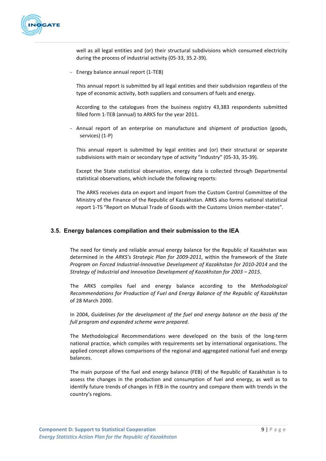

well as all legal entities and (or) their structural subdivisions which consumed electricity during the process of industrial activity (05-33, 35.2-39).

- Energy balance annual report (1-TEB)

This annual report is submitted by all legal entities and their subdivision regardless of the type of economic activity, both suppliers and consumers of fuels and energy.

According to the catalogues from the business registry 43,383 respondents submitted filled form 1-TEB (annual) to ARKS for the year 2011.

- Annual report of an enterprise on manufacture and shipment of production (goods, services) (1-P)

This annual report is submitted by legal entities and (or) their structural or separate subdivisions with main or secondary type of activity "Industry" (05-33, 35-39).

Except the State statistical observation, energy data is collected through Departmental statistical observations, which include the following reports:

The ARKS receives data on export and import from the Custom Control Committee of the Ministry of the Finance of the Republic of Kazakhstan. ARKS also forms national statistical report 1-TS "Report on Mutual Trade of Goods with the Customs Union member-states".

# **3.5. Energy balances compilation and their submission to the IEA**

The need for timely and reliable annual energy balance for the Republic of Kazakhstan was determined in the ARKS's Strategic Plan for 2009-2011, within the framework of the State *Program on Forced Industrial-Innovative Development of Kazakhstan for 2010-2014* and the *Strategy of Industrial and Innovation Development of Kazakhstan for 2003 – 2015.* 

The ARKS compiles fuel and energy balance according to the *Methodological Recommendations for Production of Fuel and Energy Balance of the Republic of Kazakhstan* of 28 March 2000.

In 2004, *Guidelines for the development of the fuel and energy balance on the basis of the full program and expanded scheme were prepared*.

The Methodological Recommendations were developed on the basis of the long-term national practice, which compiles with requirements set by international organisations. The applied concept allows comparisons of the regional and aggregated national fuel and energy balances.

The main purpose of the fuel and energy balance (FEB) of the Republic of Kazakhstan is to assess the changes in the production and consumption of fuel and energy, as well as to identify future trends of changes in FEB in the country and compare them with trends in the country's regions.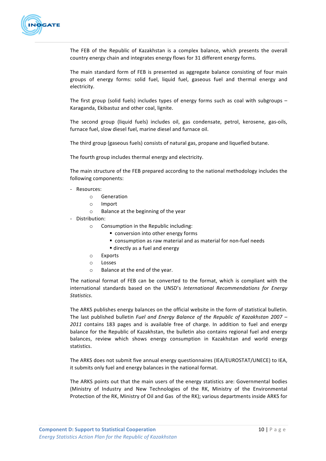

The FEB of the Republic of Kazakhstan is a complex balance, which presents the overall country energy chain and integrates energy flows for 31 different energy forms.

The main standard form of FEB is presented as aggregate balance consisting of four main groups of energy forms: solid fuel, liquid fuel, gaseous fuel and thermal energy and electricity.

The first group (solid fuels) includes types of energy forms such as coal with subgroups  $-$ Karaganda, Ekibastuz and other coal, lignite.

The second group (liquid fuels) includes oil, gas condensate, petrol, kerosene, gas-oils, furnace fuel, slow diesel fuel, marine diesel and furnace oil.

The third group (gaseous fuels) consists of natural gas, propane and liquefied butane.

The fourth group includes thermal energy and electricity.

The main structure of the FEB prepared according to the national methodology includes the following components:

- Resources:
	- o Generation
	- o Import
	- $\circ$  Balance at the beginning of the year
- Distribution:
	- $\circ$  Consumption in the Republic including:
		- conversion into other energy forms
		- consumption as raw material and as material for non-fuel needs
		- directly as a fuel and energy
	- o Exports
	- o Losses
	- $\circ$  Balance at the end of the year.

The national format of FEB can be converted to the format, which is compliant with the international standards based on the UNSD's International Recommendations for Energy *Statistics*. 

The ARKS publishes energy balances on the official website in the form of statistical bulletin. The last published bulletin *Fuel and Energy Balance of the Republic of Kazakhstan 2007* – 2011 contains 183 pages and is available free of charge. In addition to fuel and energy balance for the Republic of Kazakhstan, the bulletin also contains regional fuel and energy balances, review which shows energy consumption in Kazakhstan and world energy statistics.

The ARKS does not submit five annual energy questionnaires (IEA/EUROSTAT/UNECE) to IEA, it submits only fuel and energy balances in the national format.

The ARKS points out that the main users of the energy statistics are: Governmental bodies (Ministry of Industry and New Technologies of the RK, Ministry of the Environmental Protection of the RK, Ministry of Oil and Gas of the RK); various departments inside ARKS for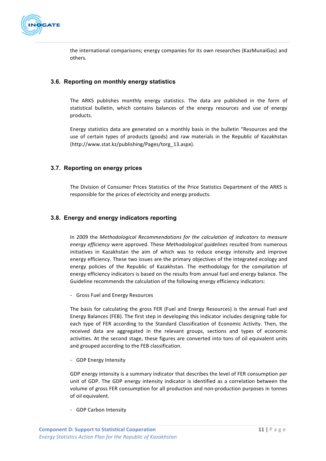

the international comparisons; energy companies for its own researches (KazMunaiGas) and others.

# **3.6. Reporting on monthly energy statistics**

The ARKS publishes monthly energy statistics. The data are published in the form of statistical bulletin, which contains balances of the energy resources and use of energy products. 

Energy statistics data are generated on a monthly basis in the bulletin "Resources and the use of certain types of products (goods) and raw materials in the Republic of Kazakhstan (http://www.stat.kz/publishing/Pages/torg\_13.aspx).

### **3.7. Reporting on energy prices**

The Division of Consumer Prices Statistics of the Price Statistics Department of the ARKS is responsible for the prices of electricity and energy products.

# **3.8. Energy and energy indicators reporting**

In 2009 the *Methodological Recommendations* for the calculation of indicators to measure *energy efficiency* were approved. These *Methodological quidelines* resulted from numerous initiatives in Kazakhstan the aim of which was to reduce energy intensity and improve energy efficiency. These two issues are the primary objectives of the integrated ecology and energy policies of the Republic of Kazakhstan. The methodology for the compilation of energy efficiency indicators is based on the results from annual fuel and energy balance. The Guideline recommends the calculation of the following energy efficiency indicators:

- Gross Fuel and Energy Resources

The basis for calculating the gross FER (Fuel and Energy Resources) is the annual Fuel and Energy Balances (FEB). The first step in developing this indicator includes designing table for each type of FER according to the Standard Classification of Economic Activity. Then, the received data are aggregated in the relevant groups, sections and types of economic activities. At the second stage, these figures are converted into tons of oil equivalent units and grouped according to the FEB classification.

- GDP Energy Intensity

GDP energy intensity is a summary indicator that describes the level of FER consumption per unit of GDP. The GDP energy intensity indicator is identified as a correlation between the volume of gross FER consumption for all production and non-production purposes in tonnes of oil equivalent.

- GDP Carbon Intensity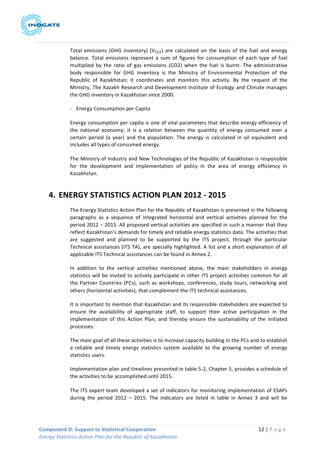

Total emissions (GHG inventory)  $(V_{CO2})$  are calculated on the basis of the fuel and energy balance. Total emissions represent a sum of figures for consumption of each type of fuel multiplied by the ratio of gas emissions (CO2) when the fuel is burnt. The administrative body responsible for GHG inventory is the Ministry of Environmental Protection of the Republic of Kazakhstan; it coordinates and monitors this activity. By the request of the Ministry, The Kazakh Research and Development Institute of Ecology and Climate manages the GHG inventory in Kazakhstan since 2000.

- Energy Consumption per Capita

Energy consumption per capita is one of vital parameters that describe energy efficiency of the national economy; it is a relation between the quantity of energy consumed over a certain period (a year) and the population. The energy is calculated in oil equivalent and includes all types of consumed energy.

The Ministry of Industry and New Technologies of the Republic of Kazakhstan is responsible for the development and implementation of policy in the area of energy efficiency in Kazakhstan.

# **4. ENERGY STATISTICS ACTION PLAN 2012 - 2015**

The Energy Statistics Action Plan for the Republic of Kazakhstan is presented in the following paragraphs as a sequence of integrated horizontal and vertical activities planned for the period  $2012 - 2015$ . All proposed vertical activities are specified in such a manner that they reflect Kazakhstan's demands for timely and reliable energy statistics data. The activities that are suggested and planned to be supported by the ITS project, through the particular Technical assistances (ITS TA), are specially highlighted. A list and a short explanation of all applicable ITS Technical assistances can be found in Annex 2.

In addition to the vertical activities mentioned above, the main stakeholders in energy statistics will be invited to actively participate in other ITS project activities common for all the Partner Countries (PCs), such as workshops, conferences, study tours, networking and others (horizontal activities), that complement the ITS technical assistances.

It is important to mention that Kazakhstan and its responsible stakeholders are expected to ensure the availability of appropriate staff, to support their active participation in the implementation of this Action Plan, and thereby ensure the sustainability of the initiated processes.

The main goal of all these activities is to increase capacity building in the PCs and to establish a reliable and timely energy statistics system available to the growing number of energy statistics users.

Implementation plan and timelines presented in table 5-2, Chapter 5, provides a schedule of the activities to be accomplished until 2015.

The ITS expert team developed a set of indicators for monitoring implementation of ESAPs during the period  $2012 - 2015$ . The indicators are listed in table in Annex 3 and will be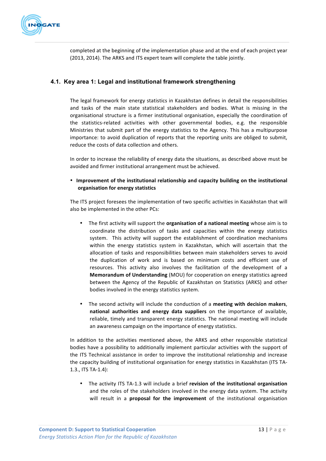

completed at the beginning of the implementation phase and at the end of each project year (2013, 2014). The ARKS and ITS expert team will complete the table jointly.

# **4.1. Key area 1: Legal and institutional framework strengthening**

The legal framework for energy statistics in Kazakhstan defines in detail the responsibilities and tasks of the main state statistical stakeholders and bodies. What is missing in the organisational structure is a firmer institutional organisation, especially the coordination of the statistics-related activities with other governmental bodies, e.g. the responsible Ministries that submit part of the energy statistics to the Agency. This has a multipurpose importance: to avoid duplication of reports that the reporting units are obliged to submit, reduce the costs of data collection and others.

In order to increase the reliability of energy data the situations, as described above must be avoided and firmer institutional arrangement must be achieved.

• Improvement of the institutional relationship and capacity building on the institutional **organisation for energy statistics**

The ITS project foresees the implementation of two specific activities in Kazakhstan that will also be implemented in the other PCs:

- The first activity will support the **organisation of a national meeting** whose aim is to coordinate the distribution of tasks and capacities within the energy statistics system. This activity will support the establishment of coordination mechanisms within the energy statistics system in Kazakhstan, which will ascertain that the allocation of tasks and responsibilities between main stakeholders serves to avoid the duplication of work and is based on minimum costs and efficient use of resources. This activity also involves the facilitation of the development of a **Memorandum of Understanding** (MOU) for cooperation on energy statistics agreed between the Agency of the Republic of Kazakhstan on Statistics (ARKS) and other bodies involved in the energy statistics system.
- The second activity will include the conduction of a **meeting with decision makers**, **national authorities and energy data suppliers** on the importance of available, reliable, timely and transparent energy statistics. The national meeting will include an awareness campaign on the importance of energy statistics.

In addition to the activities mentioned above, the ARKS and other responsible statistical bodies have a possibility to additionally implement particular activities with the support of the ITS Technical assistance in order to improve the institutional relationship and increase the capacity building of institutional organisation for energy statistics in Kazakhstan (ITS TA-1.3., ITS TA-1.4):

• The activity ITS TA-1.3 will include a brief revision of the institutional organisation and the roles of the stakeholders involved in the energy data system. The activity will result in a **proposal for the improvement** of the institutional organisation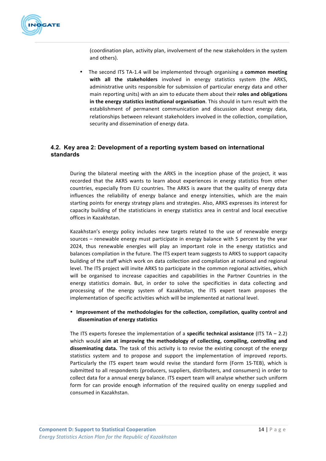

(coordination plan, activity plan, involvement of the new stakeholders in the system and others).

The second ITS TA-1.4 will be implemented through organising a **common meeting** with all the stakeholders involved in energy statistics system (the ARKS, administrative units responsible for submission of particular energy data and other main reporting units) with an aim to educate them about their **roles and obligations** in the energy statistics institutional organisation. This should in turn result with the establishment of permanent communication and discussion about energy data, relationships between relevant stakeholders involved in the collection, compilation, security and dissemination of energy data.

# **4.2. Key area 2: Development of a reporting system based on international standards**

During the bilateral meeting with the ARKS in the inception phase of the project, it was recorded that the AKRS wants to learn about experiences in energy statistics from other countries, especially from EU countries. The ARKS is aware that the quality of energy data influences the reliability of energy balance and energy intensities, which are the main starting points for energy strategy plans and strategies. Also, ARKS expresses its interest for capacity building of the statisticians in energy statistics area in central and local executive offices in Kazakhstan.

Kazakhstan's energy policy includes new targets related to the use of renewable energy sources – renewable energy must participate in energy balance with 5 percent by the year 2024, thus renewable energies will play an important role in the energy statistics and balances compilation in the future. The ITS expert team suggests to ARKS to support capacity building of the staff which work on data collection and compilation at national and regional level. The ITS project will invite ARKS to participate in the common regional activities, which will be organised to increase capacities and capabilities in the Partner Countries in the energy statistics domain. But, in order to solve the specificities in data collecting and processing of the energy system of Kazakhstan, the ITS expert team proposes the implementation of specific activities which will be implemented at national level.

### • Improvement of the methodologies for the collection, compilation, quality control and **dissemination of energy statistics**

The ITS experts foresee the implementation of a **specific technical assistance** (ITS TA – 2.2) which would aim at improving the methodology of collecting, compiling, controlling and **disseminating data.** The task of this activity is to revise the existing concept of the energy statistics system and to propose and support the implementation of improved reports. Particularly the ITS expert team would revise the standard form (Form 1S-TEB), which is submitted to all respondents (producers, suppliers, distributers, and consumers) in order to collect data for a annual energy balance. ITS expert team will analyse whether such uniform form for can provide enough information of the required quality on energy supplied and consumed in Kazakhstan.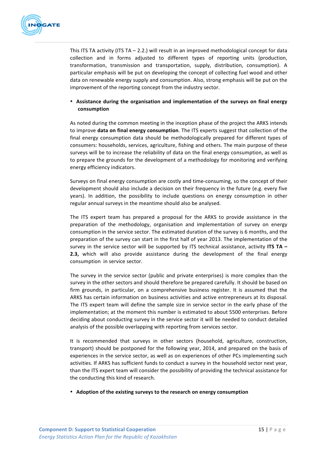

This ITS TA activity (ITS TA  $-$  2.2.) will result in an improved methodological concept for data collection and in forms adjusted to different types of reporting units (production, transformation, transmission and transportation, supply, distribution, consumption). A particular emphasis will be put on developing the concept of collecting fuel wood and other data on renewable energy supply and consumption. Also, strong emphasis will be put on the improvement of the reporting concept from the industry sector.

### • Assistance during the organisation and implementation of the surveys on final energy **consumption**

As noted during the common meeting in the inception phase of the project the ARKS intends to improve **data on final energy consumption**. The ITS experts suggest that collection of the final energy consumption data should be methodologically prepared for different types of consumers: households, services, agriculture, fishing and others. The main purpose of these surveys will be to increase the reliability of data on the final energy consumption, as well as to prepare the grounds for the development of a methodology for monitoring and verifying energy efficiency indicators.

Surveys on final energy consumption are costly and time-consuming, so the concept of their development should also include a decision on their frequency in the future (e.g. every five years). In addition, the possibility to include questions on energy consumption in other regular annual surveys in the meantime should also be analysed.

The ITS expert team has prepared a proposal for the ARKS to provide assistance in the preparation of the methodology, organisation and implementation of survey on energy consumption in the service sector. The estimated duration of the survey is 6 months, and the preparation of the survey can start in the first half of year 2013. The implementation of the survey in the service sector will be supported by ITS technical assistance, activity ITS TA -**2.3,** which will also provide assistance during the development of the final energy consumption in service sector.

The survey in the service sector (public and private enterprises) is more complex than the survey in the other sectors and should therefore be prepared carefully. It should be based on firm grounds, in particular, on a comprehensive business register. It is assumed that the ARKS has certain information on business activities and active entrepreneurs at its disposal. The ITS expert team will define the sample size in service sector in the early phase of the implementation; at the moment this number is estimated to about 5500 enterprises. Before deciding about conducting survey in the service sector it will be needed to conduct detailed analysis of the possible overlapping with reporting from services sector.

It is recommended that surveys in other sectors (household, agriculture, construction, transport) should be postponed for the following year, 2014, and prepared on the basis of experiences in the service sector, as well as on experiences of other PCs implementing such activities. If ARKS has sufficient funds to conduct a survey in the household sector next year, than the ITS expert team will consider the possibility of providing the technical assistance for the conducting this kind of research.

• Adoption of the existing surveys to the research on energy consumption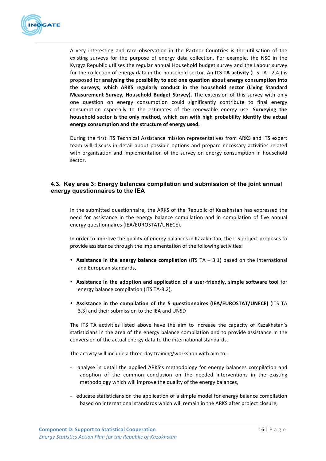

A very interesting and rare observation in the Partner Countries is the utilisation of the existing surveys for the purpose of energy data collection. For example, the NSC in the Kyrgyz Republic utilises the regular annual Household budget survey and the Labour survey for the collection of energy data in the household sector. An ITS TA activity (ITS TA - 2.4.) is proposed for analysing the possibility to add one question about energy consumption into **the surveys, which ARKS regularly conduct in the household sector (Living Standard Measurement Survey, Household Budget Survey).** The extension of this survey with only one question on energy consumption could significantly contribute to final energy consumption especially to the estimates of the renewable energy use. **Surveying the** household sector is the only method, which can with high probability identify the actual energy consumption and the structure of energy used.

During the first ITS Technical Assistance mission representatives from ARKS and ITS expert team will discuss in detail about possible options and prepare necessary activities related with organisation and implementation of the survey on energy consumption in household sector.

# **4.3. Key area 3: Energy balances compilation and submission of the joint annual energy questionnaires to the IEA**

In the submitted questionnaire, the ARKS of the Republic of Kazakhstan has expressed the need for assistance in the energy balance compilation and in compilation of five annual energy questionnaires (IEA/EUROSTAT/UNECE).

In order to improve the quality of energy balances in Kazakhstan, the ITS project proposes to provide assistance through the implementation of the following activities:

- Assistance in the energy balance compilation (ITS TA 3.1) based on the international and European standards,
- Assistance in the adoption and application of a user-friendly, simple software tool for energy balance compilation (ITS TA-3.2),
- Assistance in the compilation of the 5 questionnaires (IEA/EUROSTAT/UNECE) (ITS TA 3.3) and their submission to the IEA and UNSD

The ITS TA activities listed above have the aim to increase the capacity of Kazakhstan's statisticians in the area of the energy balance compilation and to provide assistance in the conversion of the actual energy data to the international standards.

The activity will include a three-day training/workshop with aim to:

- analyse in detail the applied ARKS's methodology for energy balances compilation and adoption of the common conclusion on the needed interventions in the existing methodology which will improve the quality of the energy balances,
- educate statisticians on the application of a simple model for energy balance compilation based on international standards which will remain in the ARKS after project closure,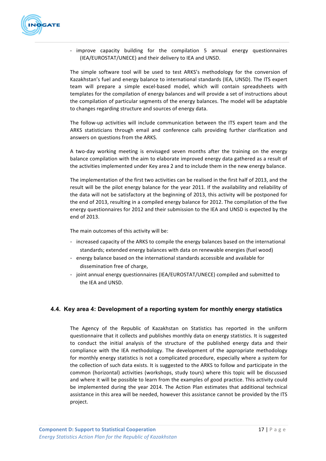

- improve capacity building for the compilation 5 annual energy questionnaires (IEA/EUROSTAT/UNECE) and their delivery to IEA and UNSD.

The simple software tool will be used to test ARKS's methodology for the conversion of Kazakhstan's fuel and energy balance to international standards (IEA, UNSD). The ITS expert team will prepare a simple excel-based model, which will contain spreadsheets with templates for the compilation of energy balances and will provide a set of instructions about the compilation of particular segments of the energy balances. The model will be adaptable to changes regarding structure and sources of energy data.

The follow-up activities will include communication between the ITS expert team and the ARKS statisticians through email and conference calls providing further clarification and answers on questions from the ARKS.

A two-day working meeting is envisaged seven months after the training on the energy balance compilation with the aim to elaborate improved energy data gathered as a result of the activities implemented under Key area 2 and to include them in the new energy balance.

The implementation of the first two activities can be realised in the first half of 2013, and the result will be the pilot energy balance for the year 2011. If the availability and reliability of the data will not be satisfactory at the beginning of 2013, this activity will be postponed for the end of 2013, resulting in a compiled energy balance for 2012. The compilation of the five energy questionnaires for 2012 and their submission to the IEA and UNSD is expected by the end of 2013.

The main outcomes of this activity will be:

- increased capacity of the ARKS to compile the energy balances based on the international standards; extended energy balances with data on renewable energies (fuel wood)
- energy balance based on the international standards accessible and available for dissemination free of charge,
- joint annual energy questionnaires (IEA/EUROSTAT/UNECE) compiled and submitted to the IEA and UNSD.

# **4.4. Key area 4: Development of a reporting system for monthly energy statistics**

The Agency of the Republic of Kazakhstan on Statistics has reported in the uniform questionnaire that it collects and publishes monthly data on energy statistics. It is suggested to conduct the initial analysis of the structure of the published energy data and their compliance with the IEA methodology. The development of the appropriate methodology for monthly energy statistics is not a complicated procedure, especially where a system for the collection of such data exists. It is suggested to the ARKS to follow and participate in the common (horizontal) activities (workshops, study tours) where this topic will be discussed and where it will be possible to learn from the examples of good practice. This activity could be implemented during the year 2014. The Action Plan estimates that additional technical assistance in this area will be needed, however this assistance cannot be provided by the ITS project.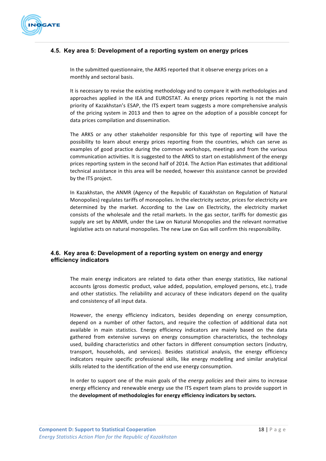

# **4.5. Key area 5: Development of a reporting system on energy prices**

In the submitted questionnaire, the AKRS reported that it observe energy prices on a monthly and sectoral basis.

It is necessary to revise the existing methodology and to compare it with methodologies and approaches applied in the IEA and EUROSTAT. As energy prices reporting is not the main priority of Kazakhstan's ESAP, the ITS expert team suggests a more comprehensive analysis of the pricing system in 2013 and then to agree on the adoption of a possible concept for data prices compilation and dissemination.

The ARKS or any other stakeholder responsible for this type of reporting will have the possibility to learn about energy prices reporting from the countries, which can serve as examples of good practice during the common workshops, meetings and from the various communication activities. It is suggested to the ARKS to start on establishment of the energy prices reporting system in the second half of 2014. The Action Plan estimates that additional technical assistance in this area will be needed, however this assistance cannot be provided by the ITS project.

In Kazakhstan, the ANMR (Agency of the Republic of Kazakhstan on Regulation of Natural Monopolies) regulates tariffs of monopolies. In the electricity sector, prices for electricity are determined by the market. According to the Law on Electricity, the electricity market consists of the wholesale and the retail markets. In the gas sector, tariffs for domestic gas supply are set by ANMR, under the Law on Natural Monopolies and the relevant normative legislative acts on natural monopolies. The new Law on Gas will confirm this responsibility.

# **4.6. Key area 6: Development of a reporting system on energy and energy efficiency indicators**

The main energy indicators are related to data other than energy statistics, like national accounts (gross domestic product, value added, population, employed persons, etc.), trade and other statistics. The reliability and accuracy of these indicators depend on the quality and consistency of all input data.

However, the energy efficiency indicators, besides depending on energy consumption, depend on a number of other factors, and require the collection of additional data not available in main statistics. Energy efficiency indicators are mainly based on the data gathered from extensive surveys on energy consumption characteristics, the technology used, building characteristics and other factors in different consumption sectors (industry, transport, households, and services). Besides statistical analysis, the energy efficiency indicators require specific professional skills, like energy modelling and similar analytical skills related to the identification of the end use energy consumption.

In order to support one of the main goals of the *energy policies* and their aims to increase energy efficiency and renewable energy use the ITS expert team plans to provide support in the development of methodologies for energy efficiency indicators by sectors.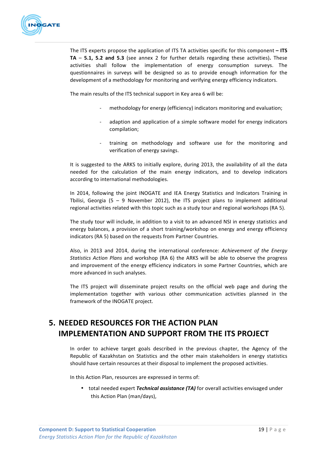

The ITS experts propose the application of ITS TA activities specific for this component – ITS **TA** – **5.1, 5.2** and **5.3** (see annex 2 for further details regarding these activities). These activities shall follow the implementation of energy consumption surveys. The questionnaires in surveys will be designed so as to provide enough information for the development of a methodology for monitoring and verifying energy efficiency indicators.

The main results of the ITS technical support in Key area 6 will be:

- methodology for energy (efficiency) indicators monitoring and evaluation;
- adaption and application of a simple software model for energy indicators compilation;
- training on methodology and software use for the monitoring and verification of energy savings.

It is suggested to the ARKS to initially explore, during 2013, the availability of all the data needed for the calculation of the main energy indicators, and to develop indicators according to international methodologies.

In 2014, following the joint INOGATE and IEA Energy Statistics and Indicators Training in Tbilisi, Georgia (5 – 9 November 2012), the ITS project plans to implement additional regional activities related with this topic such as a study tour and regional workshops (RA 5).

The study tour will include, in addition to a visit to an advanced NSI in energy statistics and energy balances, a provision of a short training/workshop on energy and energy efficiency indicators (RA 5) based on the requests from Partner Countries.

Also, in 2013 and 2014, during the international conference: *Achievement of the Energy Statistics Action Plans* and workshop (RA 6) the ARKS will be able to observe the progress and improvement of the energy efficiency indicators in some Partner Countries, which are more advanced in such analyses.

The ITS project will disseminate project results on the official web page and during the implementation together with various other communication activities planned in the framework of the INOGATE project.

# **5. NEEDED RESOURCES FOR THE ACTION PLAN IMPLEMENTATION AND SUPPORT FROM THE ITS PROJECT**

In order to achieve target goals described in the previous chapter, the Agency of the Republic of Kazakhstan on Statistics and the other main stakeholders in energy statistics should have certain resources at their disposal to implement the proposed activities.

In this Action Plan, resources are expressed in terms of:

• total needed expert *Technical assistance (TA)* for overall activities envisaged under this Action Plan (man/days),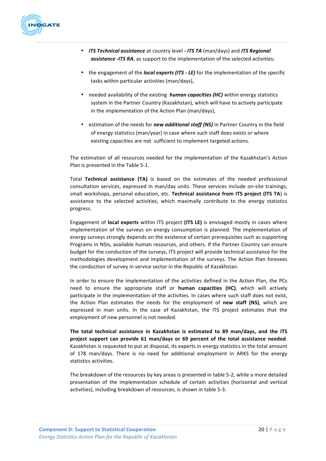

- *ITS Technical assistance* at country level ITS TA (man/days) and ITS Regional **assistance** -*ITS RA*, as support to the implementation of the selected activities;
- the engagement of the *local experts (ITS LE)* for the implementation of the specific tasks within particular activities (man/days),
- needed availability of the existing *human capacities (HC)* within energy statistics system in the Partner Country (Kazakhstan), which will have to actively participate in the implementation of the Action Plan (man/days),
- estimation of the needs for *new additional staff (NS)* in Partner Country in the field of energy statistics (man/year) in case where such staff does exists or where existing capacities are not sufficient to implement targeted actions.

The estimation of all resources needed for the implementation of the Kazakhstan's Action Plan is presented in the Table 5-1.

Total Technical assistance (TA) is based on the estimates of the needed professional consultation services, expressed in man/day units. These services include on-site trainings, small workshops, personal education, etc. **Technical assistance from ITS project (ITS TA**) is assistance to the selected activities, which maximally contribute to the energy statistics progress. 

Engagement of **local experts** within ITS project (ITS LE) is envisaged mostly in cases where implementation of the surveys on energy consumption is planned. The implementation of energy surveys strongly depends on the existence of certain prerequisites such as supporting Programs in NSIs, available human resources, and others. If the Partner Country can ensure budget for the conduction of the surveys. ITS project will provide technical assistance for the methodologies development and implementation of the surveys. The Action Plan foresees the conduction of survey in service sector in the Republic of Kazakhstan.

In order to ensure the implementation of the activities defined in the Action Plan, the PCs need to ensure the appropriate staff or **human capacities (HC)**, which will actively participate in the implementation of the activities. In cases where such staff does not exist, the Action Plan estimates the needs for the employment of new staff (NS), which are expressed in man units. In the case of Kazakhstan, the ITS project estimates that the employment of new personnel is not needed.

The total technical assistance in Kazakhstan is estimated to 89 man/days, and the ITS **project support can provide 61 man/days or 69 percent of the total assistance needed**. Kazakhstan is requested to put at disposal, its experts in energy statistics in the total amount of 178 man/days. There is no need for additional employment in ARKS for the energy statistics activities.

The breakdown of the resources by key areas is presented in table 5-2, while a more detailed presentation of the implementation schedule of certain activities (horizontal and vertical activities), including breakdown of resources, is shown in table 5-3.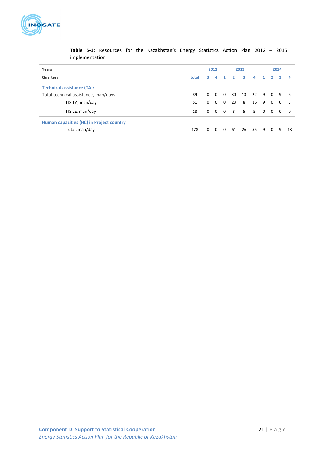

| Years                                    | 2012 |          |              | 2013           |                     |                   | 2014           |              |                |          |                |
|------------------------------------------|------|----------|--------------|----------------|---------------------|-------------------|----------------|--------------|----------------|----------|----------------|
| Quarters                                 |      |          | $\mathbf{A}$ |                | $1 \quad 2 \quad 3$ |                   | $\overline{a}$ | $\mathbf{1}$ | $\overline{2}$ | -3       | - 4            |
| <b>Technical assistance (TA):</b>        |      |          |              |                |                     |                   |                |              |                |          |                |
| Total technical assistance, man/days     |      | $\Omega$ | $0\quad 0$   |                |                     | 30 13 22 9 0      |                |              |                | 9        | - 6            |
| ITS TA, man/day                          | 61   | $\Omega$ | $\Omega$     | $\overline{0}$ | 23                  | 8                 | 16             | 9            | $\Omega$       | $\Omega$ | - 5            |
| ITS LE, man/day                          | 18   |          |              |                |                     | 0 0 0 8 5 5 0 0 0 |                |              |                |          | $\overline{0}$ |
| Human capacities (HC) in Project country |      |          |              |                |                     |                   |                |              |                |          |                |
| Total, man/day                           | 178  | $\Omega$ | $\Omega$     | $\Omega$       | 61                  |                   | 26 55 9        |              | $\overline{0}$ | -9       | 18             |

**Table 5-1**: Resources for the Kazakhstan's Energy Statistics Action Plan 2012 – 2015 implementation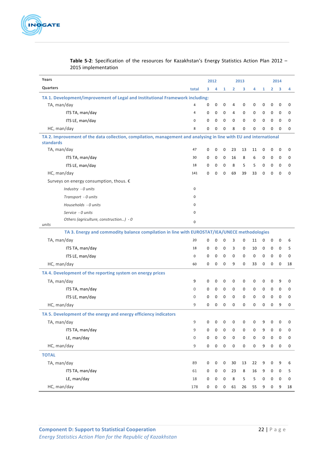

| Years                                                                                                                                 |                  | 2012         |             |             | 2013           |             |                     |              | 2014             |             |             |  |
|---------------------------------------------------------------------------------------------------------------------------------------|------------------|--------------|-------------|-------------|----------------|-------------|---------------------|--------------|------------------|-------------|-------------|--|
| <b>Quarters</b>                                                                                                                       | total            | 3            | 4           | 1           | $\overline{2}$ | з           | 4                   | $\mathbf{1}$ | 2                | 3           | 4           |  |
| TA 1. Development/improvement of Legal and Institutional Framework including:                                                         |                  |              |             |             |                |             |                     |              |                  |             |             |  |
| TA, man/day                                                                                                                           | $\overline{4}$   | 0            | 0           | 0           | 4              | 0           | 0                   | 0            | 0                | 0           | 0           |  |
| ITS TA, man/day                                                                                                                       | $\overline{4}$   | $\mathbf 0$  | $\mathbf 0$ | $\mathbf 0$ | 4              | 0           | $\mathbf 0$         | 0            | 0                | $\mathbf 0$ | 0           |  |
| ITS LE, man/day                                                                                                                       | $\Omega$         | $\mathbf 0$  | 0           | $\mathbf 0$ | $\mathbf 0$    | 0           | $\mathbf 0$         | $\mathbf 0$  | $\mathbf 0$      | $\mathbf 0$ | 0           |  |
| HC, man/day                                                                                                                           | 8                | $\Omega$     | 0           | $\Omega$    | 8              | $\Omega$    | $\Omega$            | $\Omega$     | $\Omega$         | $\mathbf 0$ | 0           |  |
| TA 2. Improvement of the data collection, compilation, management and analysing in line with EU and international<br><b>standards</b> |                  |              |             |             |                |             |                     |              |                  |             |             |  |
| TA, man/day                                                                                                                           | 47               | 0            | 0           | 0           | 23             | 13          | 11                  | 0            | 0                | $\mathbf 0$ | 0           |  |
| ITS TA, man/day                                                                                                                       | 30               | 0            | 0           | $\mathbf 0$ | 16             | 8           | 6                   | 0            | 0                | $\mathbf 0$ | 0           |  |
| ITS LE, man/day                                                                                                                       | 18               | $\mathbf 0$  | 0           | $\mathbf 0$ | 8              | 5           | 5                   | 0            | 0                | $\mathbf 0$ | 0           |  |
| HC, man/day                                                                                                                           | 141              | $\mathbf{0}$ | $\mathbf 0$ | $\mathbf 0$ | 69             | 39          | 33                  | $\mathbf 0$  | $\mathbf 0$      | $\mathbf 0$ | $\mathbf 0$ |  |
| Surveys on energy consumption, thous. €                                                                                               |                  |              |             |             |                |             |                     |              |                  |             |             |  |
| Industry - 0 units                                                                                                                    | 0                |              |             |             |                |             |                     |              |                  |             |             |  |
| Transport - 0 units                                                                                                                   | 0                |              |             |             |                |             |                     |              |                  |             |             |  |
| Households - 0 units                                                                                                                  | 0                |              |             |             |                |             |                     |              |                  |             |             |  |
| Service - 0 units                                                                                                                     | 0                |              |             |             |                |             |                     |              |                  |             |             |  |
| Others (agriculture, construction) - 0<br>units                                                                                       | 0                |              |             |             |                |             |                     |              |                  |             |             |  |
| TA 3. Energy and commodity balance compilation in line with EUROSTAT/IEA/UNECE methodologies                                          |                  |              |             |             |                |             |                     |              |                  |             |             |  |
| TA, man/day                                                                                                                           | 20               | 0            | 0           | $\mathbf 0$ | 3              | $\mathbf 0$ | 11                  | 0            | 0                | 0           | 6           |  |
| ITS TA, man/day                                                                                                                       | 18               | $\mathbf{0}$ | 0           | $\mathbf 0$ | 3              | 0           | 10                  | 0            | 0                | 0           | 5           |  |
| ITS LE, man/day                                                                                                                       | 0                | $\mathbf{0}$ | $\mathbf 0$ | $\mathbf 0$ | $\mathbf 0$    | 0           | 0                   | 0            | 0                | $\mathbf 0$ | 0           |  |
| HC, man/day                                                                                                                           | 60               | $\mathbf 0$  | 0           | $\mathbf 0$ | 9              | 0           | 33                  | 0            | $\mathbf 0$      | $\mathbf 0$ | 18          |  |
| TA 4. Development of the reporting system on energy prices                                                                            |                  |              |             |             |                |             |                     |              |                  |             |             |  |
| TA, man/day                                                                                                                           | 9                | 0            | 0           | 0           | 0              | 0           | 0                   | 0            | 0                | 9           | 0           |  |
| ITS TA, man/day                                                                                                                       | 0                | $\mathbf 0$  | 0           | 0           | 0              | 0           | 0                   | 0            | 0                | $\mathbf 0$ | 0           |  |
| ITS LE, man/day                                                                                                                       | $\mathbf{0}$     | 0            | 0           | 0           | 0              | 0           | 0                   | 0            | 0                | 0           | 0           |  |
| HC, man/day                                                                                                                           | 9                | $\Omega$     | $\mathbf 0$ | $\mathbf 0$ | $\mathbf 0$    | 0           | $\Omega$            | $\mathbf 0$  | $\mathbf 0$      | 9           | $\Omega$    |  |
| TA 5. Development of the energy and energy efficiency indicators                                                                      |                  |              |             |             |                |             |                     |              |                  |             |             |  |
| TA, man/day                                                                                                                           | 9                | 0            | 0           | 0           | 0              | 0           | 0                   | 9            | 0                | 0           | 0           |  |
| ITS TA, man/day                                                                                                                       | 9                | 0            | 0           | 0           | 0              | 0           | 0                   | 9            | 0                | 0           | 0           |  |
| LE, man/day                                                                                                                           | $\boldsymbol{0}$ | 0            | 0           | $\mathbf 0$ | 0              | 0           | $\mathsf{O}\xspace$ | 0            | 0                | $\mathbf 0$ | 0           |  |
| HC, man/day                                                                                                                           | 9                | $\mathbf 0$  | 0           | $\mathbf 0$ | 0              | 0           | 0                   | 9            | $\boldsymbol{0}$ | $\mathbf 0$ | 0           |  |
| <b>TOTAL</b>                                                                                                                          |                  |              |             |             |                |             |                     |              |                  |             |             |  |
| TA, man/day                                                                                                                           | 89               | 0            | 0           | 0           | 30             | 13          | 22                  | 9            | 0                | 9           | 6           |  |
| ITS TA, man/day                                                                                                                       | 61               | 0            | 0           | 0           | 23             | 8           | 16                  | 9            | 0                | $\mathbf 0$ | 5           |  |
| LE, man/day                                                                                                                           | 18               | 0            | 0           | 0           | 8              | 5           | 5                   | 0            | 0                | $\mathbf 0$ | 0           |  |
| HC, man/day                                                                                                                           | 178              | 0            | 0           | $\mathbf 0$ | 61             | 26          | 55                  | 9            | 0                | 9           | 18          |  |

# **Table 5-2**: Specification of the resources for Kazakhstan's Energy Statistics Action Plan 2012 -2015 implementation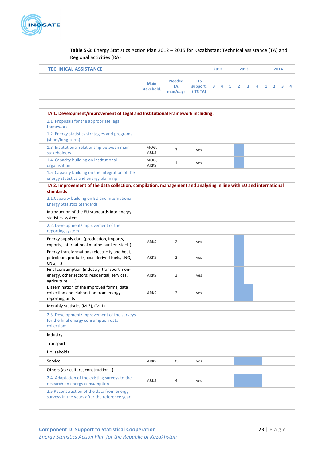

Table 5-3: Energy Statistics Action Plan 2012 - 2015 for Kazakhstan: Technical assistance (TA) and Regional activities (RA)

| <b>TECHNICAL ASSISTANCE</b>                                                                                                    |                           |                                  |                                    | 2012<br>2013 |   |   |                |   | 2014 |   |                |   |   |
|--------------------------------------------------------------------------------------------------------------------------------|---------------------------|----------------------------------|------------------------------------|--------------|---|---|----------------|---|------|---|----------------|---|---|
|                                                                                                                                | <b>Main</b><br>stakehold. | <b>Needed</b><br>TA,<br>man/days | <b>ITS</b><br>support,<br>(ITS TA) | з            | 4 | 1 | $\overline{2}$ | 3 | 4    | 1 | $\overline{2}$ | з | 4 |
| TA 1. Development/improvement of Legal and Institutional Framework including:                                                  |                           |                                  |                                    |              |   |   |                |   |      |   |                |   |   |
| 1.1 Proposals for the appropriate legal<br>framework                                                                           |                           |                                  |                                    |              |   |   |                |   |      |   |                |   |   |
| 1.2 Energy statistics strategies and programs<br>(short/long-term)                                                             |                           |                                  |                                    |              |   |   |                |   |      |   |                |   |   |
| 1.3 Institutional relationship between main<br>stakeholders                                                                    | MOG,<br>ARKS              | 3                                | yes                                |              |   |   |                |   |      |   |                |   |   |
| 1.4 Capacity building on institutional<br>organisation                                                                         | MOG,<br><b>ARKS</b>       | 1                                | yes                                |              |   |   |                |   |      |   |                |   |   |
| 1.5 Capacity building on the integration of the<br>energy statistics and energy planning                                       |                           |                                  |                                    |              |   |   |                |   |      |   |                |   |   |
| TA 2. Improvement of the data collection, compilation, management and analysing in line with EU and international<br>standards |                           |                                  |                                    |              |   |   |                |   |      |   |                |   |   |
| 2.1. Capacity building on EU and International<br><b>Energy Statistics Standards</b>                                           |                           |                                  |                                    |              |   |   |                |   |      |   |                |   |   |
| Introduction of the EU standards into energy<br>statistics system                                                              |                           |                                  |                                    |              |   |   |                |   |      |   |                |   |   |
| 2.2. Development/improvement of the<br>reporting system                                                                        |                           |                                  |                                    |              |   |   |                |   |      |   |                |   |   |
| Energy supply data (production, imports,<br>exports, international marine bunker, stock)                                       | ARKS                      | 2                                | yes                                |              |   |   |                |   |      |   |                |   |   |
| Energy transformations (electricity and heat,<br>petroleum products, coal derived fuels, LNG,<br>CNG,                          | ARKS                      | 2                                | yes                                |              |   |   |                |   |      |   |                |   |   |
| Final consumption (industry, transport, non-<br>energy, other sectors: residential, services,<br>agriculture, )                | ARKS                      | 2                                | yes                                |              |   |   |                |   |      |   |                |   |   |
| Dissemination of the improved forms, data<br>collection and elaboration from energy<br>reporting units                         | ARKS                      | 2                                | yes                                |              |   |   |                |   |      |   |                |   |   |
| Monthly statistics (M-3), (M-1)                                                                                                |                           |                                  |                                    |              |   |   |                |   |      |   |                |   |   |
| 2.3. Development/improvement of the surveys<br>for the final energy consumption data<br>collection:                            |                           |                                  |                                    |              |   |   |                |   |      |   |                |   |   |
| Industry                                                                                                                       |                           |                                  |                                    |              |   |   |                |   |      |   |                |   |   |
| Transport                                                                                                                      |                           |                                  |                                    |              |   |   |                |   |      |   |                |   |   |
| Households                                                                                                                     |                           |                                  |                                    |              |   |   |                |   |      |   |                |   |   |
| Service                                                                                                                        | ARKS                      | 35                               | yes                                |              |   |   |                |   |      |   |                |   |   |
| Others (agriculture, construction)                                                                                             |                           |                                  |                                    |              |   |   |                |   |      |   |                |   |   |
| 2.4. Adaptation of the existing surveys to the<br>research on energy consumption                                               | ARKS                      | 4                                | yes                                |              |   |   |                |   |      |   |                |   |   |
| 2.5 Reconstruction of the data from energy<br>surveys in the years after the reference year                                    |                           |                                  |                                    |              |   |   |                |   |      |   |                |   |   |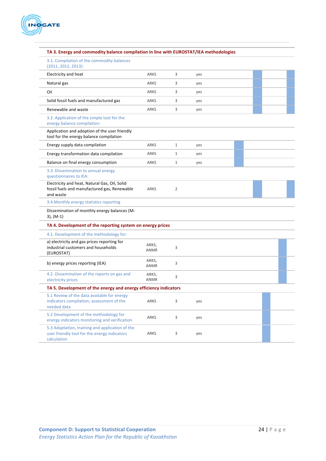

#### TA 3. Energy and commodity balance compilation in line with EUROSTAT/IEA methodologies

3.1. Compilation of the commodity balances  $(2011, 2012, 2013)$ :

| Electricity and heat                                                                                           | <b>ARKS</b>          | 3              | yes |  |  |
|----------------------------------------------------------------------------------------------------------------|----------------------|----------------|-----|--|--|
| Natural gas                                                                                                    | ARKS                 | 3              | yes |  |  |
| Oil                                                                                                            | ARKS                 | 3              | yes |  |  |
| Solid fossil fuels and manufactured gas                                                                        | ARKS                 | 3              | yes |  |  |
| Renewable and waste                                                                                            | ARKS                 | 3              | yes |  |  |
| 3.2. Application of the simple tool for the<br>energy balance compilation:                                     |                      |                |     |  |  |
| Application and adoption of the user friendly<br>tool for the energy balance compilation                       |                      |                |     |  |  |
| Energy supply data compilation                                                                                 | ARKS                 | $\mathbf{1}$   | yes |  |  |
| Energy transformation data compilation                                                                         | ARKS                 | 1              | yes |  |  |
| Balance on final energy consumption                                                                            | ARKS                 | $\mathbf{1}$   | yes |  |  |
| 3.3. Dissemination to annual energy<br>questionnaires to IEA:                                                  |                      |                |     |  |  |
| Electricity and heat, Natural Gas, Oil, Solid<br>fossil fuels and manufactured gas, Renewable<br>and waste     | ARKS                 | $\overline{2}$ |     |  |  |
| 3.4. Monthly energy statistics reporting                                                                       |                      |                |     |  |  |
| Dissemination of monthly energy balances (M-<br>$3)$ , (M-1)                                                   |                      |                |     |  |  |
| TA 4. Development of the reporting system on energy prices                                                     |                      |                |     |  |  |
| 4.1. Development of the methodology for:                                                                       |                      |                |     |  |  |
| a) electricity and gas prices reporting for<br>industrial customers and households<br>(EUROSTAT)               | ARKS,<br><b>ANMR</b> | 3              |     |  |  |
| b) energy prices reporting (IEA)                                                                               | ARKS,<br>ANMR        | 3              |     |  |  |
| 4.2. Dissemination of the reports on gas and<br>electricity prices                                             | ARKS,<br><b>ANMR</b> | 3              |     |  |  |
| TA 5. Development of the energy and energy efficiency indicators                                               |                      |                |     |  |  |
| 5.1 Review of the data available for energy<br>indicators compilation, assessment of the<br>needed data        | ARKS                 | 3              | yes |  |  |
| 5.2 Development of the methodology for<br>energy indicators monitoring and verification                        | ARKS                 | 3              | yes |  |  |
| 5.3 Adaptation, training and application of the<br>user friendly tool for the energy indicators<br>calculation | <b>ARKS</b>          | 3              | yes |  |  |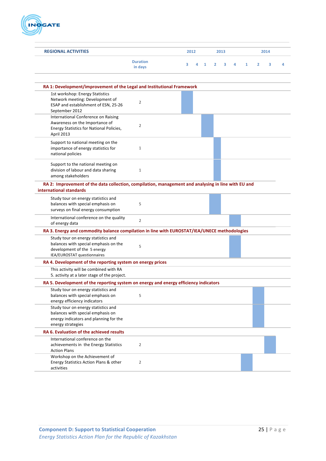

| <b>REGIONAL ACTIVITIES</b>                                                                                                                 | 2012                       |   |   | 2013 |                |   |   |              | 2014           |   |   |  |
|--------------------------------------------------------------------------------------------------------------------------------------------|----------------------------|---|---|------|----------------|---|---|--------------|----------------|---|---|--|
|                                                                                                                                            | <b>Duration</b><br>in days | з | 4 | 1    | $\overline{2}$ | з | 4 | $\mathbf{1}$ | $\overline{2}$ | 3 | 4 |  |
| RA 1: Development/improvement of the Legal and Institutional Framework                                                                     |                            |   |   |      |                |   |   |              |                |   |   |  |
| 1st workshop: Energy Statistics<br>Network meeting: Development of<br>ESAP and establishment of ESN, 25-26<br>September 2012               | 2                          |   |   |      |                |   |   |              |                |   |   |  |
| International Conference on Raising<br>Awareness on the Importance of<br>Energy Statistics for National Policies,<br>April 2013            | 2                          |   |   |      |                |   |   |              |                |   |   |  |
| Support to national meeting on the<br>importance of energy statistics for<br>national policies                                             | $\mathbf{1}$               |   |   |      |                |   |   |              |                |   |   |  |
| Support to the national meeting on<br>division of labour and data sharing<br>among stakeholders                                            | $\mathbf{1}$               |   |   |      |                |   |   |              |                |   |   |  |
| RA 2: Improvement of the data collection, compilation, management and analysing in line with EU and<br>international standards             |                            |   |   |      |                |   |   |              |                |   |   |  |
| Study tour on energy statistics and<br>balances with special emphasis on<br>surveys on final energy consumption                            | 5                          |   |   |      |                |   |   |              |                |   |   |  |
| International conference on the quality<br>of energy data                                                                                  | $\overline{2}$             |   |   |      |                |   |   |              |                |   |   |  |
| RA 3. Energy and commodity balance compilation in line with EUROSTAT/IEA/UNECE methodologies                                               |                            |   |   |      |                |   |   |              |                |   |   |  |
| Study tour on energy statistics and<br>balances with special emphasis on the<br>development of the 5 energy<br>IEA/EUROSTAT questionnaires | 5                          |   |   |      |                |   |   |              |                |   |   |  |
| RA 4. Development of the reporting system on energy prices                                                                                 |                            |   |   |      |                |   |   |              |                |   |   |  |
| This activity will be combined with RA<br>5. activity at a later stage of the project.                                                     |                            |   |   |      |                |   |   |              |                |   |   |  |
| RA 5. Development of the reporting system on energy and energy efficiency indicators                                                       |                            |   |   |      |                |   |   |              |                |   |   |  |
| Study tour on energy statistics and<br>balances with special emphasis on<br>energy efficiency indicators                                   | 5                          |   |   |      |                |   |   |              |                |   |   |  |
| Study tour on energy statistics and<br>balances with special emphasis on<br>energy indicators and planning for the<br>energy strategies    |                            |   |   |      |                |   |   |              |                |   |   |  |
| RA 6. Evaluation of the achieved results                                                                                                   |                            |   |   |      |                |   |   |              |                |   |   |  |
| International conference on the<br>achievements in the Energy Statistics<br><b>Action Plans</b>                                            | 2                          |   |   |      |                |   |   |              |                |   |   |  |
| Workshop on the Achievement of<br>Energy Statistics Action Plans & other<br>activities                                                     | 2                          |   |   |      |                |   |   |              |                |   |   |  |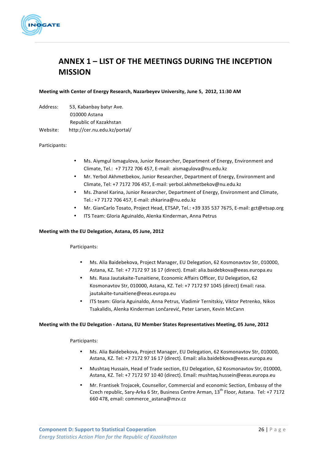

# **ANNEX 1 – LIST OF THE MEETINGS DURING THE INCEPTION MISSION**

#### **Meeting with Center of Energy Research, Nazarbeyev University, June 5, 2012, 11:30 AM**

| Address: | 53, Kabanbay batyr Ave.      |
|----------|------------------------------|
|          | 010000 Astana                |
|          | Republic of Kazakhstan       |
| Website: | http://cer.nu.edu.kz/portal/ |

#### Participants:

- Ms. Aiymgul Ismagulova, Junior Researcher, Department of Energy, Environment and Climate, Tel.: +7 7172 706 457, E-mail: aismagulova@nu.edu.kz
- Mr. Yerbol Akhmetbekov, Junior Researcher, Department of Energy, Environment and Climate, Tel: +7 7172 706 457, E-mail: verbol.akhmetbekov@nu.edu.kz
- Ms. Zhanel Karina, Junior Researcher, Department of Energy, Environment and Climate, Tel.: +7 7172 706 457, E-mail: zhkarina@nu.edu.kz
- Mr. GianCarlo Tosato, Project Head, ETSAP, Tel.: +39 335 537 7675, E-mail: gct@etsap.org
- ITS Team: Gloria Aguinaldo, Alenka Kinderman, Anna Petrus

#### **Meeting with the EU Delegation, Astana, 05 June, 2012**

#### Participants:

- Ms. Alia Baidebekova, Project Manager, EU Delegation, 62 Kosmonavtov Str, 010000, Astana, KZ. Tel: +7 7172 97 16 17 (direct). Email: alia.baidebkova@eeas.europa.eu
- Ms. Rasa Jautakaite-Tunaitiene, Economic Affairs Officer, EU Delegation, 62 Kosmonavtov Str, 010000, Astana, KZ. Tel: +7 7172 97 1045 (direct) Email: rasa. jautakaite-tunaitiene@eeas.europa.eu
- ITS team: Gloria Aguinaldo, Anna Petrus, Vladimir Ternitskiy, Viktor Petrenko, Nikos Tsakalidis, Alenka Kinderman Lončarević, Peter Larsen, Kevin McCann

#### Meeting with the EU Delegation - Astana, EU Member States Representatives Meeting, 05 June, 2012

#### Participants:

- Ms. Alia Baidebekova, Project Manager, EU Delegation, 62 Kosmonavtov Str, 010000, Astana, KZ. Tel: +7 7172 97 16 17 (direct). Email: alia.baidebkova@eeas.europa.eu
- Mushtaq Hussain, Head of Trade section, EU Delegation, 62 Kosmonavtov Str, 010000, Astana, KZ. Tel: +7 7172 97 10 40 (direct). Email: mushtaq.hussein@eeas.europa.eu
- Mr. Frantisek Trojacek, Counsellor, Commercial and economic Section, Embassy of the Czech republic, Sary-Arka 6 Str, Business Centre Arman, 13<sup>th</sup> Floor, Astana. Tel: +7 7172 660 478, email: commerce astana@mzv.cz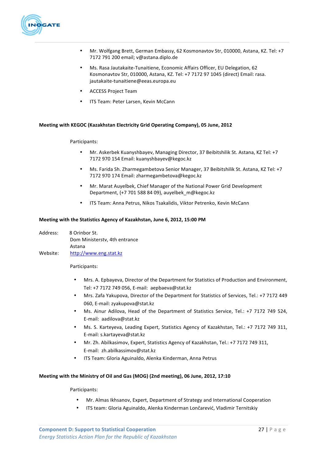

- Mr. Wolfgang Brett, German Embassy, 62 Kosmonavtov Str, 010000, Astana, KZ. Tel: +7 7172 791 200 email; v@astana.diplo.de
- Ms. Rasa Jautakaite-Tunaitiene, Economic Affairs Officer, EU Delegation, 62 Kosmonavtov Str, 010000, Astana, KZ. Tel: +7 7172 97 1045 (direct) Email: rasa. jautakaite-tunaitiene@eeas.europa.eu
- ACCESS Project Team
- ITS Team: Peter Larsen, Kevin McCann

#### Meeting with KEGOC (Kazakhstan Electricity Grid Operating Company), 05 June, 2012

#### Participants:

- Mr. Askerbek Kuanyshbayev, Managing Director, 37 Beibitshilik St. Astana, KZ Tel: +7 7172 970 154 Email: kuanyshbayev@kegoc.kz
- Ms. Farida Sh. Zharmegambetova Senior Manager, 37 Beibitshilik St. Astana, KZ Tel: +7 7172 970 174 Email: zharmegambetova@kegoc.kz
- Mr. Marat Auyelbek, Chief Manager of the National Power Grid Development Department, (+7 701 588 84 09), auyelbek\_m@kegoc.kz
- ITS Team: Anna Petrus, Nikos Tsakalidis, Viktor Petrenko, Kevin McCann

#### **Meeting with the Statistics Agency of Kazakhstan, June 6, 2012, 15:00 PM**

Address: 8 Orinbor St. Dom Ministerstv, 4th entrance Astana Website: http://www.eng.stat.kz

Participants:

- Mrs. A. Epbayeva, Director of the Department for Statistics of Production and Environment, Tel: +7 7172 749 056, E-mail: aepbaeva@stat.kz
- Mrs. Zafa Yakupova, Director of the Department for Statistics of Services, Tel.: +7 7172 449 060, E-mail: zvakupova@stat.kz
- Ms. Ainur Adilova, Head of the Department of Statistics Service, Tel.: +7 7172 749 524, E-mail: aadilova@stat.kz
- Ms. S. Karteyeva, Leading Expert, Statistics Agency of Kazakhstan, Tel.: +7 7172 749 311, E-mail: s.kartayeva@stat.kz
- Mr. Zh. Abilkasimov, Expert, Statistics Agency of Kazakhstan, Tel.: +7 7172 749 311, E-mail: zh.abilkassimov@stat.kz
- ITS Team: Gloria Aguinaldo, Alenka Kinderman, Anna Petrus

#### Meeting with the Ministry of Oil and Gas (MOG) (2nd meeting), 06 June, 2012, 17:10

Participants:

- Mr. Almas Ikhsanov, Expert, Department of Strategy and International Cooperation
- ITS team: Gloria Aguinaldo, Alenka Kinderman Lončarević, Vladimir Ternitskiy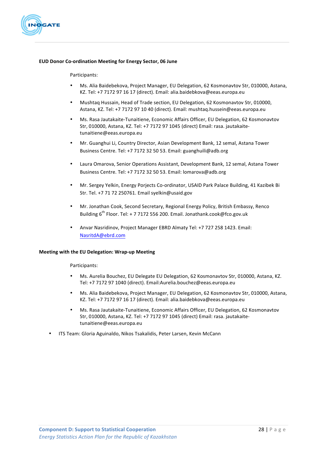

#### **EUD Donor Co-ordination Meeting for Energy Sector, 06 June**

#### Participants:

- Ms. Alia Baidebekova, Project Manager, EU Delegation, 62 Kosmonavtov Str, 010000, Astana, KZ. Tel: +7 7172 97 16 17 (direct). Email: alia.baidebkova@eeas.europa.eu
- Mushtaq Hussain, Head of Trade section, EU Delegation, 62 Kosmonavtov Str, 010000, Astana, KZ. Tel: +7 7172 97 10 40 (direct). Email: mushtaq.hussein@eeas.europa.eu
- Ms. Rasa Jautakaite-Tunaitiene, Economic Affairs Officer, EU Delegation, 62 Kosmonavtov Str, 010000, Astana, KZ. Tel: +7 7172 97 1045 (direct) Email: rasa. jautakaitetunaitiene@eeas.europa.eu
- Mr. Guanghui Li, Country Director, Asian Development Bank, 12 semal, Astana Tower Business Centre. Tel: +7 7172 32 50 53. Email: guanghuili@adb.org
- Laura Omarova, Senior Operations Assistant, Development Bank, 12 semal, Astana Tower Business Centre. Tel: +7 7172 32 50 53. Email: lomarova@adb.org
- Mr. Sergey Yelkin, Energy Porjects Co-ordinator, USAID Park Palace Building, 41 Kazibek Bi Str. Tel. +7 71 72 250761. Email syelkin@usaid.gov
- Mr. Jonathan Cook, Second Secretary, Regional Energy Policy, British Embassy, Renco Building 6<sup>th</sup> Floor. Tel: + 7 7172 556 200. Email. Jonathank.cook@fco.gov.uk
- Anvar Nasridinov, Project Manager EBRD Almaty Tel: +7 727 258 1423. Email: NasritdA@ebrd.com

#### **Meeting with the EU Delegation: Wrap-up Meeting**

#### Participants:

- Ms. Aurelia Bouchez, EU Delegate EU Delegation, 62 Kosmonavtov Str, 010000, Astana, KZ. Tel: +7 7172 97 1040 (direct). Email:Aurelia.bouchez@eeas.europa.eu
- Ms. Alia Baidebekova, Project Manager, EU Delegation, 62 Kosmonavtov Str, 010000, Astana, KZ. Tel: +7 7172 97 16 17 (direct). Email: alia.baidebkova@eeas.europa.eu
- Ms. Rasa Jautakaite-Tunaitiene, Economic Affairs Officer, EU Delegation, 62 Kosmonavtov Str, 010000, Astana, KZ. Tel: +7 7172 97 1045 (direct) Email: rasa. jautakaitetunaitiene@eeas.europa.eu
- ITS Team: Gloria Aguinaldo, Nikos Tsakalidis, Peter Larsen, Kevin McCann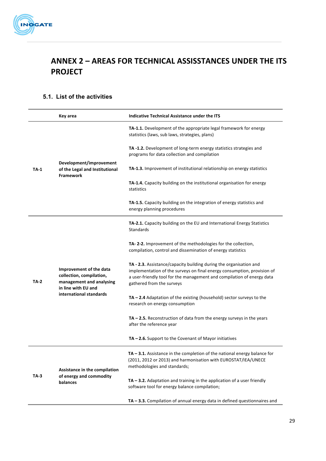

# **ANNEX 2 – AREAS FOR TECHNICAL ASSISSTANCES UNDER THE ITS PROJECT**

# **5.1. List of the activities**

|             | Key area                                                                                                                          | <b>Indicative Technical Assistance under the ITS</b>                                                                                                                                                                                                 |
|-------------|-----------------------------------------------------------------------------------------------------------------------------------|------------------------------------------------------------------------------------------------------------------------------------------------------------------------------------------------------------------------------------------------------|
|             |                                                                                                                                   | TA-1.1. Development of the appropriate legal framework for energy<br>statistics (laws, sub laws, strategies, plans)                                                                                                                                  |
|             |                                                                                                                                   | TA-1.2. Development of long-term energy statistics strategies and<br>programs for data collection and compilation                                                                                                                                    |
| <b>TA-1</b> | Development/improvement<br>of the Legal and Institutional<br><b>Framework</b>                                                     | TA-1.3. Improvement of institutional relationship on energy statistics                                                                                                                                                                               |
|             |                                                                                                                                   | TA-1.4. Capacity building on the institutional organisation for energy<br>statistics                                                                                                                                                                 |
|             |                                                                                                                                   | TA-1.5. Capacity building on the integration of energy statistics and<br>energy planning procedures                                                                                                                                                  |
|             |                                                                                                                                   | TA-2.1. Capacity building on the EU and International Energy Statistics<br>Standards                                                                                                                                                                 |
|             | Improvement of the data<br>collection, compilation,<br>management and analysing<br>in line with EU and<br>international standards | TA-2-2. Improvement of the methodologies for the collection,<br>compilation, control and dissemination of energy statistics                                                                                                                          |
| TA-2        |                                                                                                                                   | TA - 2.3. Assistance/capacity building during the organisation and<br>implementation of the surveys on final energy consumption, provision of<br>a user-friendly tool for the management and compilation of energy data<br>gathered from the surveys |
|             |                                                                                                                                   | $TA - 2.4$ Adaptation of the existing (household) sector surveys to the<br>research on energy consumption                                                                                                                                            |
|             |                                                                                                                                   | $TA - 2.5$ . Reconstruction of data from the energy surveys in the years<br>after the reference year                                                                                                                                                 |
|             |                                                                                                                                   | $TA - 2.6$ . Support to the Covenant of Mayor initiatives                                                                                                                                                                                            |
|             | Assistance in the compilation                                                                                                     | TA-3.1. Assistance in the completion of the national energy balance for<br>(2011, 2012 or 2013) and harmonisation with EUROSTAT/IEA/UNECE<br>methodologies and standards;                                                                            |
| TA-3        | of energy and commodity<br>balances                                                                                               | $TA - 3.2$ . Adaptation and training in the application of a user friendly<br>software tool for energy balance compilation;                                                                                                                          |
|             |                                                                                                                                   | $TA - 3.3$ . Compilation of annual energy data in defined questionnaires and                                                                                                                                                                         |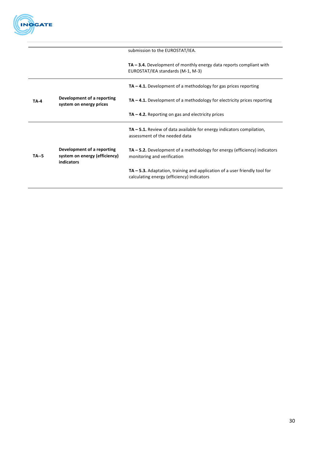

|              |                                                                           | submission to the EUROSTAT/IEA.                                                                                             |
|--------------|---------------------------------------------------------------------------|-----------------------------------------------------------------------------------------------------------------------------|
|              |                                                                           | $TA - 3.4$ . Development of monthly energy data reports compliant with<br>EUROSTAT/IEA standards (M-1, M-3)                 |
|              |                                                                           | $TA - 4.1$ . Development of a methodology for gas prices reporting                                                          |
| <b>TA-4</b>  | Development of a reporting<br>system on energy prices                     | $TA - 4.1$ . Development of a methodology for electricity prices reporting                                                  |
|              |                                                                           | $TA - 4.2$ . Reporting on gas and electricity prices                                                                        |
|              |                                                                           | $TA - 5.1$ . Review of data available for energy indicators compilation,<br>assessment of the needed data                   |
| <b>TA--5</b> | Development of a reporting<br>system on energy (efficiency)<br>indicators | $TA - 5.2$ . Development of a methodology for energy (efficiency) indicators<br>monitoring and verification                 |
|              |                                                                           | $TA - 5.3$ . Adaptation, training and application of a user friendly tool for<br>calculating energy (efficiency) indicators |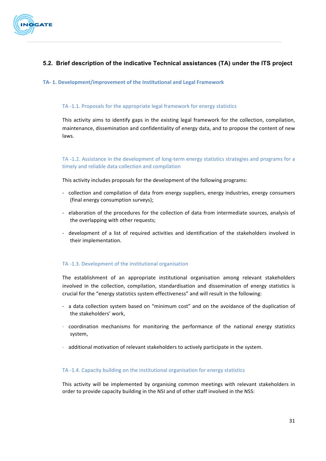

# **5.2. Brief description of the indicative Technical assistances (TA) under the ITS project**

#### **TA- 1. Development/improvement of the Institutional and Legal Framework**

#### TA -1.1. Proposals for the appropriate legal framework for energy statistics

This activity aims to identify gaps in the existing legal framework for the collection, compilation, maintenance, dissemination and confidentiality of energy data, and to propose the content of new laws. 

### TA -1.2. Assistance in the development of long-term energy statistics strategies and programs for a timely and reliable data collection and compilation

This activity includes proposals for the development of the following programs:

- collection and compilation of data from energy suppliers, energy industries, energy consumers (final energy consumption surveys);
- elaboration of the procedures for the collection of data from intermediate sources, analysis of the overlapping with other requests;
- development of a list of required activities and identification of the stakeholders involved in their implementation.

#### TA -1.3. Development of the institutional organisation

The establishment of an appropriate institutional organisation among relevant stakeholders involved in the collection, compilation, standardisation and dissemination of energy statistics is crucial for the "energy statistics system effectiveness" and will result in the following:

- a data collection system based on "minimum cost" and on the avoidance of the duplication of the stakeholders' work.
- coordination mechanisms for monitoring the performance of the national energy statistics system,
- additional motivation of relevant stakeholders to actively participate in the system.

#### TA -1.4. Capacity building on the institutional organisation for energy statistics

This activity will be implemented by organising common meetings with relevant stakeholders in order to provide capacity building in the NSI and of other staff involved in the NSS: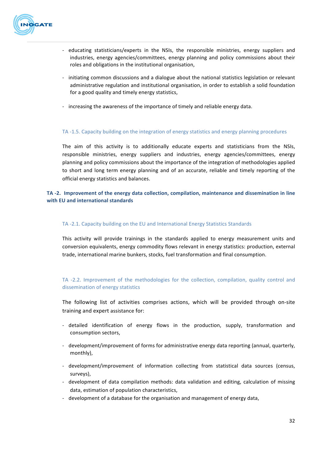

- educating statisticians/experts in the NSIs, the responsible ministries, energy suppliers and industries, energy agencies/committees, energy planning and policy commissions about their roles and obligations in the institutional organisation.
- initiating common discussions and a dialogue about the national statistics legislation or relevant administrative regulation and institutional organisation, in order to establish a solid foundation for a good quality and timely energy statistics,
- increasing the awareness of the importance of timely and reliable energy data.

#### TA -1.5. Capacity building on the integration of energy statistics and energy planning procedures

The aim of this activity is to additionally educate experts and statisticians from the NSIs, responsible ministries, energy suppliers and industries, energy agencies/committees, energy planning and policy commissions about the importance of the integration of methodologies applied to short and long term energy planning and of an accurate, reliable and timely reporting of the official energy statistics and balances.

### **TA** -2. Improvement of the energy data collection, compilation, maintenance and dissemination in line **with EU and international standards**

#### TA -2.1. Capacity building on the EU and International Energy Statistics Standards

This activity will provide trainings in the standards applied to energy measurement units and conversion equivalents, energy commodity flows relevant in energy statistics: production, external trade, international marine bunkers, stocks, fuel transformation and final consumption.

### TA -2.2. Improvement of the methodologies for the collection, compilation, quality control and dissemination of energy statistics

The following list of activities comprises actions, which will be provided through on-site training and expert assistance for:

- detailed identification of energy flows in the production, supply, transformation and consumption sectors,
- development/improvement of forms for administrative energy data reporting (annual, quarterly, monthly),
- development/improvement of information collecting from statistical data sources (census, surveys),
- development of data compilation methods: data validation and editing, calculation of missing data, estimation of population characteristics,
- development of a database for the organisation and management of energy data,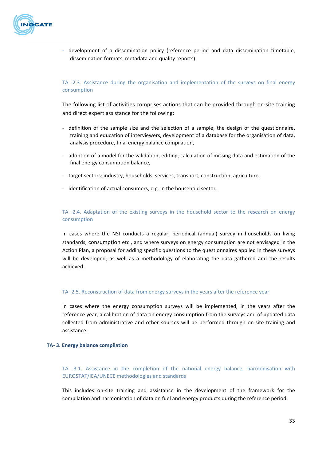

- development of a dissemination policy (reference period and data dissemination timetable, dissemination formats, metadata and quality reports).

### TA -2.3. Assistance during the organisation and implementation of the surveys on final energy consumption

The following list of activities comprises actions that can be provided through on-site training and direct expert assistance for the following:

- definition of the sample size and the selection of a sample, the design of the questionnaire, training and education of interviewers, development of a database for the organisation of data, analysis procedure, final energy balance compilation,
- adoption of a model for the validation, editing, calculation of missing data and estimation of the final energy consumption balance,
- target sectors: industry, households, services, transport, construction, agriculture,
- identification of actual consumers, e.g. in the household sector.

### TA -2.4. Adaptation of the existing surveys in the household sector to the research on energy consumption

In cases where the NSI conducts a regular, periodical (annual) survey in households on living standards, consumption etc., and where surveys on energy consumption are not envisaged in the Action Plan, a proposal for adding specific questions to the questionnaires applied in these surveys will be developed, as well as a methodology of elaborating the data gathered and the results achieved.

#### TA -2.5. Reconstruction of data from energy surveys in the years after the reference year

In cases where the energy consumption surveys will be implemented, in the years after the reference year, a calibration of data on energy consumption from the surveys and of updated data collected from administrative and other sources will be performed through on-site training and assistance.

#### **TA- 3. Energy balance compilation**

TA -3.1. Assistance in the completion of the national energy balance, harmonisation with EUROSTAT/IEA/UNECE methodologies and standards

This includes on-site training and assistance in the development of the framework for the compilation and harmonisation of data on fuel and energy products during the reference period.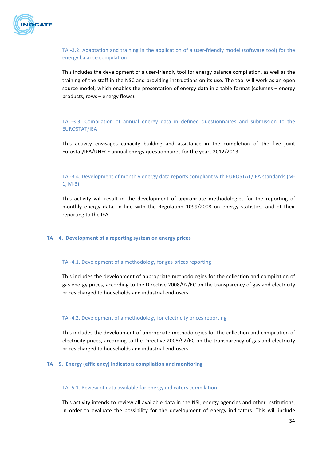

TA -3.2. Adaptation and training in the application of a user-friendly model (software tool) for the energy balance compilation

This includes the development of a user-friendly tool for energy balance compilation, as well as the training of the staff in the NSC and providing instructions on its use. The tool will work as an open source model, which enables the presentation of energy data in a table format (columns – energy products, rows - energy flows).

TA -3.3. Compilation of annual energy data in defined questionnaires and submission to the EUROSTAT/IEA

This activity envisages capacity building and assistance in the completion of the five joint Eurostat/IEA/UNECE annual energy questionnaires for the years 2012/2013.

### TA -3.4. Development of monthly energy data reports compliant with EUROSTAT/IEA standards (M-1, M-3)

This activity will result in the development of appropriate methodologies for the reporting of monthly energy data, in line with the Regulation 1099/2008 on energy statistics, and of their reporting to the IEA.

#### TA – 4. Development of a reporting system on energy prices

#### TA -4.1. Development of a methodology for gas prices reporting

This includes the development of appropriate methodologies for the collection and compilation of gas energy prices, according to the Directive 2008/92/EC on the transparency of gas and electricity prices charged to households and industrial end-users.

#### TA -4.2. Development of a methodology for electricity prices reporting

This includes the development of appropriate methodologies for the collection and compilation of electricity prices, according to the Directive 2008/92/EC on the transparency of gas and electricity prices charged to households and industrial end-users.

#### TA – 5. Energy (efficiency) indicators compilation and monitoring

#### TA -5.1. Review of data available for energy indicators compilation

This activity intends to review all available data in the NSI, energy agencies and other institutions, in order to evaluate the possibility for the development of energy indicators. This will include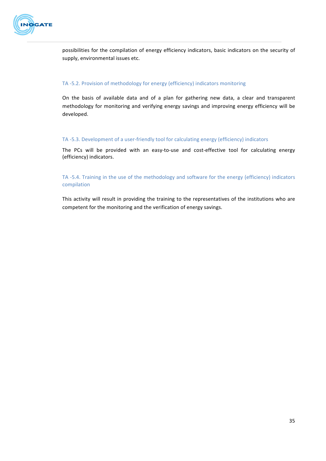

possibilities for the compilation of energy efficiency indicators, basic indicators on the security of supply, environmental issues etc.

#### TA -5.2. Provision of methodology for energy (efficiency) indicators monitoring

On the basis of available data and of a plan for gathering new data, a clear and transparent methodology for monitoring and verifying energy savings and improving energy efficiency will be developed.

#### TA -5.3. Development of a user-friendly tool for calculating energy (efficiency) indicators

The PCs will be provided with an easy-to-use and cost-effective tool for calculating energy (efficiency) indicators.

### TA -5.4. Training in the use of the methodology and software for the energy (efficiency) indicators compilation

This activity will result in providing the training to the representatives of the institutions who are competent for the monitoring and the verification of energy savings.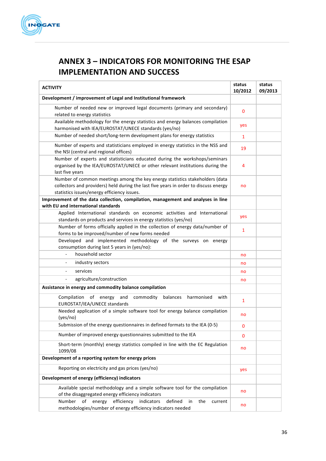

# **ANNEX 3 – INDICATORS FOR MONITORING THE ESAP IMPLEMENTATION AND SUCCESS**

| <b>ACTIVITY</b>                                                                                                                                                                                                     | status<br>10/2012 | status<br>09/2013 |
|---------------------------------------------------------------------------------------------------------------------------------------------------------------------------------------------------------------------|-------------------|-------------------|
| Development / improvement of Legal and Institutional framework                                                                                                                                                      |                   |                   |
| Number of needed new or improved legal documents (primary and secondary)<br>related to energy statistics                                                                                                            | $\mathbf{0}$      |                   |
| Available methodology for the energy statistics and energy balances compilation<br>harmonised with IEA/EUROSTAT/UNECE standards (yes/no)                                                                            | yes               |                   |
| Number of needed short/long-term development plans for energy statistics                                                                                                                                            | $\mathbf{1}$      |                   |
| Number of experts and statisticians employed in energy statistics in the NSS and<br>the NSI (central and regional offices)                                                                                          | 19                |                   |
| Number of experts and statisticians educated during the workshops/seminars<br>organised by the IEA/EUROSTAT/UNECE or other relevant institutions during the<br>last five years                                      | 4                 |                   |
| Number of common meetings among the key energy statistics stakeholders (data<br>collectors and providers) held during the last five years in order to discuss energy<br>statistics issues/energy efficiency issues. | no                |                   |
| Improvement of the data collection, compilation, management and analyses in line<br>with EU and international standards                                                                                             |                   |                   |
| Applied International standards on economic activities and International<br>standards on products and services in energy statistics (yes/no)                                                                        | yes               |                   |
| Number of forms officially applied in the collection of energy data/number of<br>forms to be improved/number of new forms needed                                                                                    | $\mathbf{1}$      |                   |
| Developed and implemented methodology of the surveys on energy<br>consumption during last 5 years in (yes/no):                                                                                                      |                   |                   |
| household sector<br>$\overline{a}$                                                                                                                                                                                  | no                |                   |
| industry sectors<br>-                                                                                                                                                                                               | no                |                   |
| services                                                                                                                                                                                                            | no                |                   |
| agriculture/construction                                                                                                                                                                                            | no                |                   |
| Assistance in energy and commodity balance compilation                                                                                                                                                              |                   |                   |
| of<br>energy and<br>commodity<br>Compilation<br>balances<br>harmonised<br>with<br>EUROSTAT/IEA/UNECE standards                                                                                                      | 1                 |                   |
| Needed application of a simple software tool for energy balance compilation<br>(yes/no)                                                                                                                             | no                |                   |
| Submission of the energy questionnaires in defined formats to the IEA (0-5)                                                                                                                                         | 0                 |                   |
| Number of improved energy questionnaires submitted to the IEA                                                                                                                                                       | 0                 |                   |
| Short-term (monthly) energy statistics compiled in line with the EC Regulation<br>1099/08                                                                                                                           | no                |                   |
| Development of a reporting system for energy prices                                                                                                                                                                 |                   |                   |
| Reporting on electricity and gas prices (yes/no)                                                                                                                                                                    | yes               |                   |
| Development of energy (efficiency) indicators                                                                                                                                                                       |                   |                   |
| Available special methodology and a simple software tool for the compilation<br>of the disaggregated energy efficiency indicators                                                                                   | no                |                   |
| of<br>efficiency<br>indicators<br>defined<br>Number<br>energy<br>the<br>in<br>current<br>methodologies/number of energy efficiency indicators needed                                                                | no                |                   |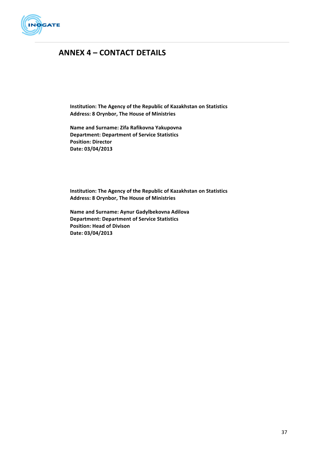

# **ANNEX 4 – CONTACT DETAILS**

**Institution: The Agency of the Republic of Kazakhstan on Statistics Address: 8 Orynbor, The House of Ministries**

**Name and Surname: Zifa Rafikovna Yakupovna Department: Department of Service Statistics Position: Director Date: 03/04/2013**

**Institution: The Agency of the Republic of Kazakhstan on Statistics Address: 8 Orynbor, The House of Ministries**

**Name and Surname: Aynur Gadylbekovna Adilova Department: Department of Service Statistics Position: Head of Divison Date: 03/04/2013**